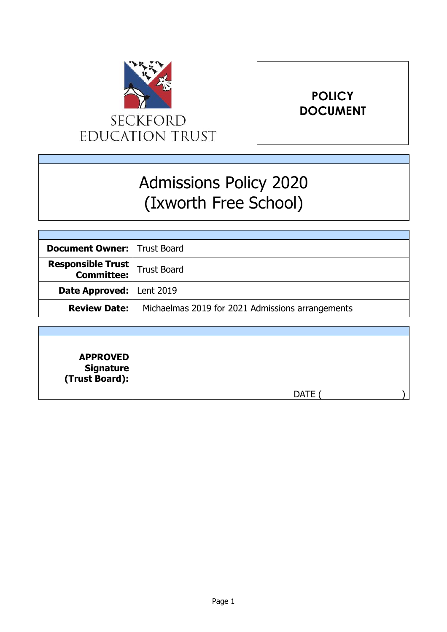

# **POLICY DOCUMENT**

# Admissions Policy 2020 (Ixworth Free School)

| <b>Document Owner:   Trust Board</b>                      |                                                  |
|-----------------------------------------------------------|--------------------------------------------------|
| <b>Responsible Trust</b><br><b>Committee:</b> Trust Board |                                                  |
| <b>Date Approved: Lent 2019</b>                           |                                                  |
| <b>Review Date:</b>                                       | Michaelmas 2019 for 2021 Admissions arrangements |

| <b>APPROVED</b><br><b>Signature</b><br>(Trust Board): |             |  |
|-------------------------------------------------------|-------------|--|
|                                                       | <b>DATE</b> |  |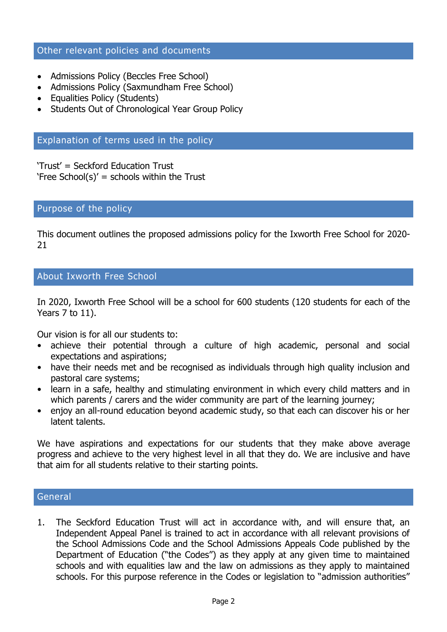# Other relevant policies and documents

- Admissions Policy (Beccles Free School)
- Admissions Policy (Saxmundham Free School)
- Equalities Policy (Students)
- Students Out of Chronological Year Group Policy

# Explanation of terms used in the policy

'Trust' = Seckford Education Trust 'Free School(s)' = schools within the Trust

# Purpose of the policy

This document outlines the proposed admissions policy for the Ixworth Free School for 2020- 21

# About Ixworth Free School

In 2020, Ixworth Free School will be a school for 600 students (120 students for each of the Years 7 to 11).

Our vision is for all our students to:

- achieve their potential through a culture of high academic, personal and social expectations and aspirations;
- have their needs met and be recognised as individuals through high quality inclusion and pastoral care systems;
- learn in a safe, healthy and stimulating environment in which every child matters and in which parents / carers and the wider community are part of the learning journey;
- enjoy an all-round education beyond academic study, so that each can discover his or her latent talents.

We have aspirations and expectations for our students that they make above average progress and achieve to the very highest level in all that they do. We are inclusive and have that aim for all students relative to their starting points.

#### **General**

1. The Seckford Education Trust will act in accordance with, and will ensure that, an Independent Appeal Panel is trained to act in accordance with all relevant provisions of the School Admissions Code and the School Admissions Appeals Code published by the Department of Education ("the Codes") as they apply at any given time to maintained schools and with equalities law and the law on admissions as they apply to maintained schools. For this purpose reference in the Codes or legislation to "admission authorities"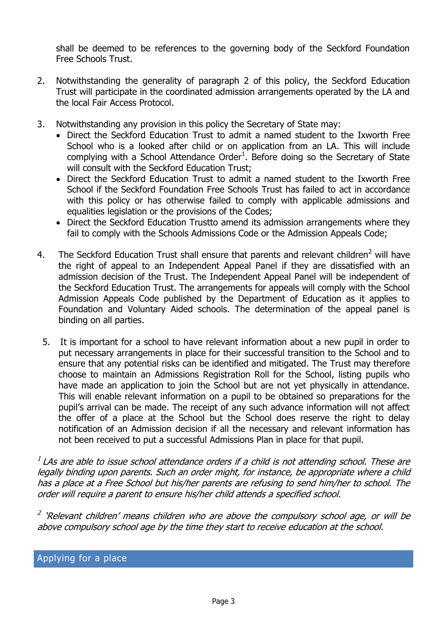shall be deemed to be references to the governing body of the Seckford Foundation Free Schools Trust.

- 2. Notwithstanding the generality of paragraph 2 of this policy, the Seckford Education Trust will participate in the coordinated admission arrangements operated by the LA and the local Fair Access Protocol.
- 3. Notwithstanding any provision in this policy the Secretary of State may:
	- Direct the Seckford Education Trust to admit a named student to the Ixworth Free School who is a looked after child or on application from an LA. This will include complying with a School Attendance Order<sup>1</sup>. Before doing so the Secretary of State will consult with the Seckford Education Trust;
	- Direct the Seckford Education Trust to admit a named student to the Ixworth Free School if the Seckford Foundation Free Schools Trust has failed to act in accordance with this policy or has otherwise failed to comply with applicable admissions and equalities legislation or the provisions of the Codes;
	- Direct the Seckford Education Trustto amend its admission arrangements where they fail to comply with the Schools Admissions Code or the Admission Appeals Code;
- 4. The Seckford Education Trust shall ensure that parents and relevant children<sup>2</sup> will have the right of appeal to an Independent Appeal Panel if they are dissatisfied with an admission decision of the Trust. The Independent Appeal Panel will be independent of the Seckford Education Trust. The arrangements for appeals will comply with the School Admission Appeals Code published by the Department of Education as it applies to Foundation and Voluntary Aided schools. The determination of the appeal panel is binding on all parties.
	- 5. It is important for a school to have relevant information about a new pupil in order to put necessary arrangements in place for their successful transition to the School and to ensure that any potential risks can be identified and mitigated. The Trust may therefore choose to maintain an Admissions Registration Roll for the School, listing pupils who have made an application to join the School but are not yet physically in attendance. This will enable relevant information on a pupil to be obtained so preparations for the pupil's arrival can be made. The receipt of any such advance information will not affect the offer of a place at the School but the School does reserve the right to delay notification of an Admission decision if all the necessary and relevant information has not been received to put a successful Admissions Plan in place for that pupil.

 $^{\text{\tiny{I}}}$  LAs are able to issue school attendance orders if a child is not attending school. These are legally binding upon parents. Such an order might, for instance, be appropriate where a child has a place at a Free School but his/her parents are refusing to send him/her to school. The order will require a parent to ensure his/her child attends a specified school.

<sup>2</sup> 'Relevant children' means children who are above the compulsory school age, or will be above compulsory school age by the time they start to receive education at the school.

# Applying for a place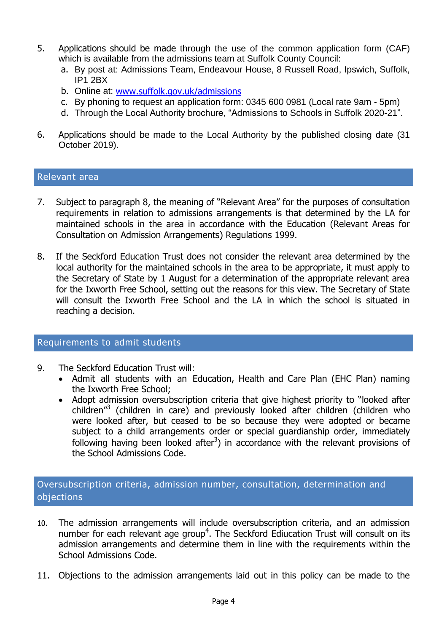- 5. Applications should be made through the use of the common application form (CAF) which is available from the admissions team at Suffolk County Council:
	- a. By post at: Admissions Team, Endeavour House, 8 Russell Road, Ipswich, Suffolk, IP1 2BX
	- b. Online at: [www.suffolk.gov.uk/admissions](http://www.suffolk.gov.uk/admissions)
	- c. By phoning to request an application form: 0345 600 0981 (Local rate 9am 5pm)
	- d. Through the Local Authority brochure, "Admissions to Schools in Suffolk 2020-21".
- 6. Applications should be made to the Local Authority by the published closing date (31 October 2019).

## Relevant area

- 7. Subject to paragraph 8, the meaning of "Relevant Area" for the purposes of consultation requirements in relation to admissions arrangements is that determined by the LA for maintained schools in the area in accordance with the Education (Relevant Areas for Consultation on Admission Arrangements) Regulations 1999.
- 8. If the Seckford Education Trust does not consider the relevant area determined by the local authority for the maintained schools in the area to be appropriate, it must apply to the Secretary of State by 1 August for a determination of the appropriate relevant area for the Ixworth Free School, setting out the reasons for this view. The Secretary of State will consult the Ixworth Free School and the LA in which the school is situated in reaching a decision.

#### Requirements to admit students

- 9. The Seckford Education Trust will:
	- Admit all students with an Education, Health and Care Plan (EHC Plan) naming the Ixworth Free School;
	- Adopt admission oversubscription criteria that give highest priority to "looked after children"<sup>3</sup> (children in care) and previously looked after children (children who were looked after, but ceased to be so because they were adopted or became subject to a child arrangements order or special guardianship order, immediately following having been looked after<sup>3</sup>) in accordance with the relevant provisions of the School Admissions Code.

# Oversubscription criteria, admission number, consultation, determination and objections

- 10. The admission arrangements will include oversubscription criteria, and an admission number for each relevant age group<sup>4</sup>. The Seckford Ediucation Trust will consult on its admission arrangements and determine them in line with the requirements within the School Admissions Code.
- 11. Objections to the admission arrangements laid out in this policy can be made to the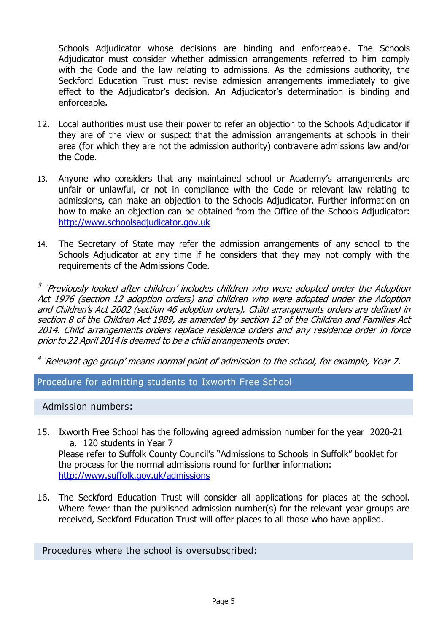Schools Adjudicator whose decisions are binding and enforceable. The Schools Adjudicator must consider whether admission arrangements referred to him comply with the Code and the law relating to admissions. As the admissions authority, the Seckford Education Trust must revise admission arrangements immediately to give effect to the Adjudicator's decision. An Adjudicator's determination is binding and enforceable.

- 12. Local authorities must use their power to refer an objection to the Schools Adjudicator if they are of the view or suspect that the admission arrangements at schools in their area (for which they are not the admission authority) contravene admissions law and/or the Code.
- 13. Anyone who considers that any maintained school or Academy's arrangements are unfair or unlawful, or not in compliance with the Code or relevant law relating to admissions, can make an objection to the Schools Adjudicator. Further information on how to make an objection can be obtained from the Office of the Schools Adjudicator: [http://www.schoolsadjudicator.gov.uk](http://www.schoolsadjudicator.gov.uk/)
- 14. The Secretary of State may refer the admission arrangements of any school to the Schools Adjudicator at any time if he considers that they may not comply with the requirements of the Admissions Code.

<sup>3</sup> 'Previously looked after children' includes children who were adopted under the Adoption Act 1976 (section 12 adoption orders) and children who were adopted under the Adoption and Children'<sup>s</sup> Act 2002 (section 46 adoption orders). Child arrangements orders are defined in section 8 of the Children Act 1989, as amended by section 12 of the Children and Families Act 2014. Child arrangements orders replace residence orders and any residence order in force priorto 22 April 2014 is deemed to be <sup>a</sup> child arrangements order.

<sup>4</sup> 'Relevant age group' means normal point of admission to the school, for example, Year 7.

Procedure for admitting students to Ixworth Free School

Admission numbers:

- 15. Ixworth Free School has the following agreed admission number for the year 2020-21 a. 120 students in Year 7 Please refer to Suffolk County Council's "Admissions to Schools in Suffolk" booklet for the process for the normal admissions round for further information: <http://www.suffolk.gov.uk/admissions>
- 16. The Seckford Education Trust will consider all applications for places at the school. Where fewer than the published admission number(s) for the relevant year groups are received, Seckford Education Trust will offer places to all those who have applied.

Procedures where the school is oversubscribed: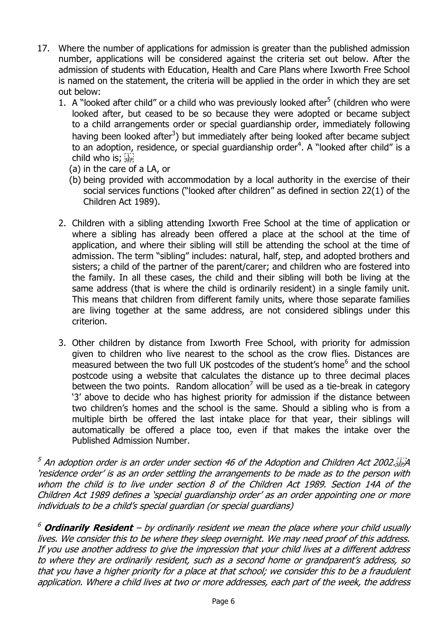- 17. Where the number of applications for admission is greater than the published admission number, applications will be considered against the criteria set out below. After the admission of students with Education, Health and Care Plans where Ixworth Free School is named on the statement, the criteria will be applied in the order in which they are set out below:
	- 1. A "looked after child" or a child who was previously looked after $5$  (children who were looked after, but ceased to be so because they were adopted or became subject to a child arrangements order or special guardianship order, immediately following having been looked after<sup>3</sup>) but immediately after being looked after became subject to an adoption, residence, or special guardianship order<sup>4</sup>. A "looked after child" is a child who is; see
		- (a) in the care of a LA, or
		- (b) being provided with accommodation by a local authority in the exercise of their social services functions ("looked after children" as defined in section 22(1) of the Children Act 1989).
	- 2. Children with a sibling attending Ixworth Free School at the time of application or where a sibling has already been offered a place at the school at the time of application, and where their sibling will still be attending the school at the time of admission. The term "sibling" includes: natural, half, step, and adopted brothers and sisters; a child of the partner of the parent/carer; and children who are fostered into the family. In all these cases, the child and their sibling will both be living at the same address (that is where the child is ordinarily resident) in a single family unit. This means that children from different family units, where those separate families are living together at the same address, are not considered siblings under this criterion.
	- 3. Other children by distance from Ixworth Free School, with priority for admission given to children who live nearest to the school as the crow flies. Distances are measured between the two full UK postcodes of the student's home<sup>6</sup> and the school postcode using a website that calculates the distance up to three decimal places between the two points. Random allocation<sup>7</sup> will be used as a tie-break in category '3' above to decide who has highest priority for admission if the distance between two children's homes and the school is the same. Should a sibling who is from a multiple birth be offered the last intake place for that year, their siblings will automatically be offered a place too, even if that makes the intake over the Published Admission Number.

 $^5$  An adoption order is an order under section 46 of the Adoption and Children Act 2002.  $\sim$ 'residence order' is as an order settling the arrangements to be made as to the person with whom the child is to live under section 8 of the Children Act 1989. Section 14A of the Children Act 1989 defines a 'special guardianship order' as an order appointing one or more individuals to be a child's special guardian (or special guardians)

<sup>6</sup> **Ordinarily Resident** – by ordinarily resident we mean the place where your child usually lives. We consider this to be where they sleep overnight. We may need proof of this address. If you use another address to give the impression that your child lives at a different address to where they are ordinarily resident, such as a second home or grandparent's address, so that you have a higher priority for a place at that school; we consider this to be a fraudulent application. Where a child lives at two or more addresses, each part of the week, the address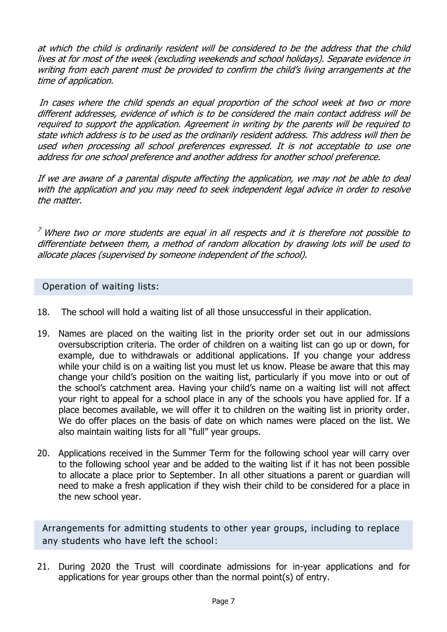at which the child is ordinarily resident will be considered to be the address that the child lives at for most of the week (excluding weekends and school holidays). Separate evidence in writing from each parent must be provided to confirm the child's living arrangements at the time of application.

In cases where the child spends an equal proportion of the school week at two or more different addresses, evidence of which is to be considered the main contact address will be required to support the application. Agreement in writing by the parents will be required to state which address is to be used as the ordinarily resident address. This address will then be used when processing all school preferences expressed. It is not acceptable to use one address for one school preference and another address for another school preference.

If we are aware of a parental dispute affecting the application, we may not be able to deal with the application and you may need to seek independent legal advice in order to resolve the matter.

 $<sup>7</sup>$  Where two or more students are equal in all respects and it is therefore not possible to</sup> differentiate between them, a method of random allocation by drawing lots will be used to allocate places (supervised by someone independent of the school).

Operation of waiting lists:

- 18. The school will hold a waiting list of all those unsuccessful in their application.
- 19. Names are placed on the waiting list in the priority order set out in our admissions oversubscription criteria. The order of children on a waiting list can go up or down, for example, due to withdrawals or additional applications. If you change your address while your child is on a waiting list you must let us know. Please be aware that this may change your child's position on the waiting list, particularly if you move into or out of the school's catchment area. Having your child's name on a waiting list will not affect your right to appeal for a school place in any of the schools you have applied for. If a place becomes available, we will offer it to children on the waiting list in priority order. We do offer places on the basis of date on which names were placed on the list. We also maintain waiting lists for all "full" year groups.
- 20. Applications received in the Summer Term for the following school year will carry over to the following school year and be added to the waiting list if it has not been possible to allocate a place prior to September. In all other situations a parent or guardian will need to make a fresh application if they wish their child to be considered for a place in the new school year.

Arrangements for admitting students to other year groups, including to replace any students who have left the school:

21. During 2020 the Trust will coordinate admissions for in-year applications and for applications for year groups other than the normal point(s) of entry.